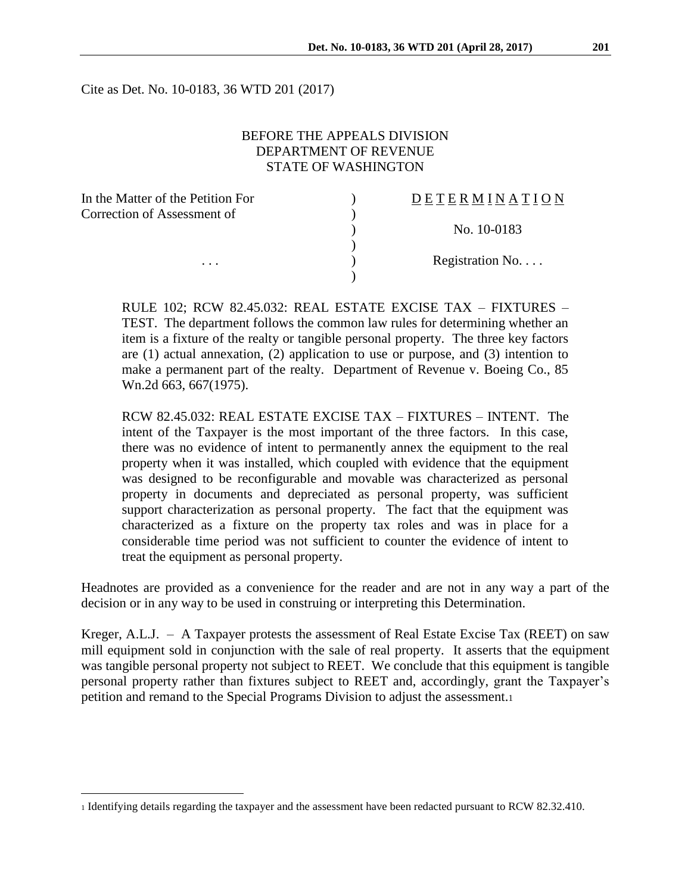Cite as Det. No. 10-0183, 36 WTD 201 (2017)

## BEFORE THE APPEALS DIVISION DEPARTMENT OF REVENUE STATE OF WASHINGTON

| In the Matter of the Petition For | DETERMINATION   |
|-----------------------------------|-----------------|
| Correction of Assessment of       |                 |
|                                   | No. 10-0183     |
|                                   |                 |
| $\cdots$                          | Registration No |
|                                   |                 |

RULE 102; RCW 82.45.032: REAL ESTATE EXCISE TAX – FIXTURES – TEST. The department follows the common law rules for determining whether an item is a fixture of the realty or tangible personal property. The three key factors are (1) actual annexation, (2) application to use or purpose, and (3) intention to make a permanent part of the realty. Department of Revenue v. Boeing Co., 85 Wn.2d 663, 667(1975).

RCW 82.45.032: REAL ESTATE EXCISE TAX – FIXTURES – INTENT. The intent of the Taxpayer is the most important of the three factors. In this case, there was no evidence of intent to permanently annex the equipment to the real property when it was installed, which coupled with evidence that the equipment was designed to be reconfigurable and movable was characterized as personal property in documents and depreciated as personal property, was sufficient support characterization as personal property. The fact that the equipment was characterized as a fixture on the property tax roles and was in place for a considerable time period was not sufficient to counter the evidence of intent to treat the equipment as personal property.

Headnotes are provided as a convenience for the reader and are not in any way a part of the decision or in any way to be used in construing or interpreting this Determination.

Kreger, A.L.J. – A Taxpayer protests the assessment of Real Estate Excise Tax (REET) on saw mill equipment sold in conjunction with the sale of real property. It asserts that the equipment was tangible personal property not subject to REET. We conclude that this equipment is tangible personal property rather than fixtures subject to REET and, accordingly, grant the Taxpayer's petition and remand to the Special Programs Division to adjust the assessment.<sup>1</sup>

 $\overline{a}$ 

<sup>1</sup> Identifying details regarding the taxpayer and the assessment have been redacted pursuant to RCW 82.32.410.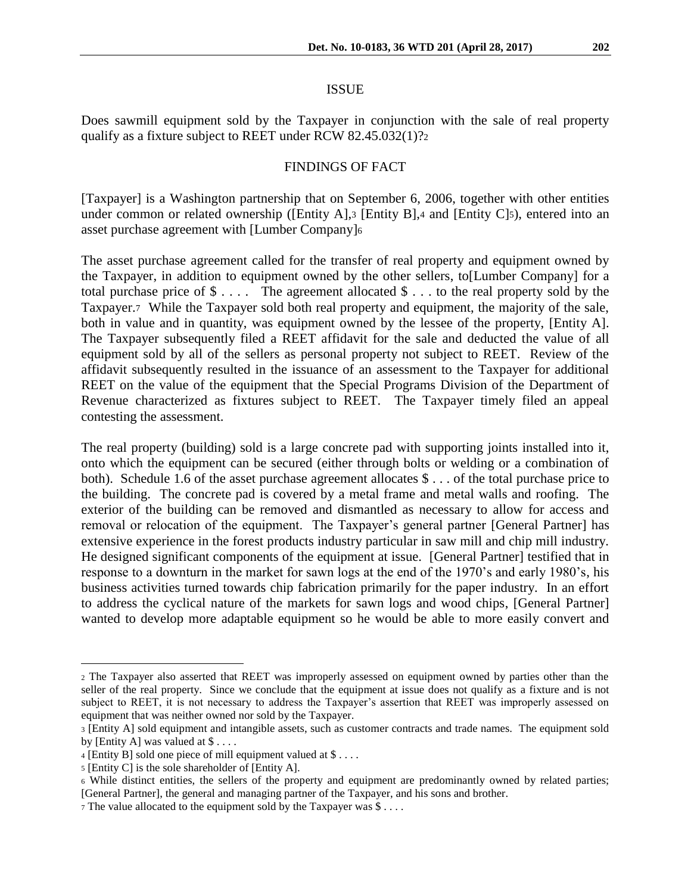#### ISSUE

Does sawmill equipment sold by the Taxpayer in conjunction with the sale of real property qualify as a fixture subject to REET under RCW 82.45.032(1)?<sup>2</sup>

#### FINDINGS OF FACT

[Taxpayer] is a Washington partnership that on September 6, 2006, together with other entities under common or related ownership ([Entity A], 3 [Entity B], 4 and [Entity C]5), entered into an asset purchase agreement with [Lumber Company]<sup>6</sup>

The asset purchase agreement called for the transfer of real property and equipment owned by the Taxpayer, in addition to equipment owned by the other sellers, to[Lumber Company] for a total purchase price of \$ . . . . The agreement allocated \$ . . . to the real property sold by the Taxpayer.<sup>7</sup> While the Taxpayer sold both real property and equipment, the majority of the sale, both in value and in quantity, was equipment owned by the lessee of the property, [Entity A]. The Taxpayer subsequently filed a REET affidavit for the sale and deducted the value of all equipment sold by all of the sellers as personal property not subject to REET. Review of the affidavit subsequently resulted in the issuance of an assessment to the Taxpayer for additional REET on the value of the equipment that the Special Programs Division of the Department of Revenue characterized as fixtures subject to REET. The Taxpayer timely filed an appeal contesting the assessment.

The real property (building) sold is a large concrete pad with supporting joints installed into it, onto which the equipment can be secured (either through bolts or welding or a combination of both). Schedule 1.6 of the asset purchase agreement allocates \$ . . . of the total purchase price to the building. The concrete pad is covered by a metal frame and metal walls and roofing. The exterior of the building can be removed and dismantled as necessary to allow for access and removal or relocation of the equipment. The Taxpayer's general partner [General Partner] has extensive experience in the forest products industry particular in saw mill and chip mill industry. He designed significant components of the equipment at issue. [General Partner] testified that in response to a downturn in the market for sawn logs at the end of the 1970's and early 1980's, his business activities turned towards chip fabrication primarily for the paper industry. In an effort to address the cyclical nature of the markets for sawn logs and wood chips, [General Partner] wanted to develop more adaptable equipment so he would be able to more easily convert and

 $\overline{a}$ 

<sup>2</sup> The Taxpayer also asserted that REET was improperly assessed on equipment owned by parties other than the seller of the real property. Since we conclude that the equipment at issue does not qualify as a fixture and is not subject to REET, it is not necessary to address the Taxpayer's assertion that REET was improperly assessed on equipment that was neither owned nor sold by the Taxpayer.

<sup>3</sup> [Entity A] sold equipment and intangible assets, such as customer contracts and trade names. The equipment sold by [Entity A] was valued at  $\$\dots$ .

<sup>4</sup> [Entity B] sold one piece of mill equipment valued at \$ . . . .

<sup>5</sup> [Entity C] is the sole shareholder of [Entity A].

<sup>6</sup> While distinct entities, the sellers of the property and equipment are predominantly owned by related parties; [General Partner], the general and managing partner of the Taxpayer, and his sons and brother.

<sup>7</sup> The value allocated to the equipment sold by the Taxpayer was \$ . . . .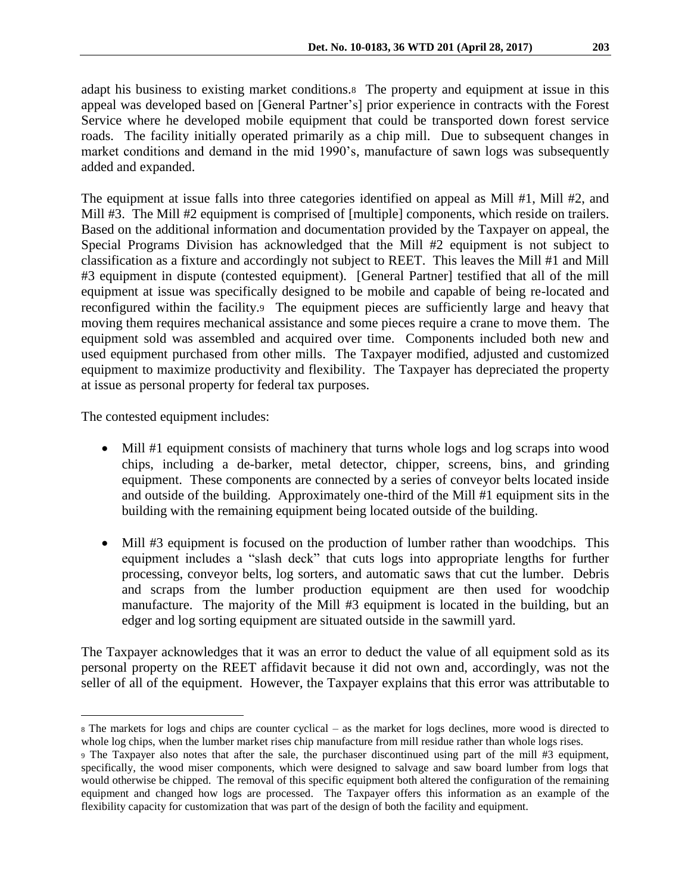adapt his business to existing market conditions.8 The property and equipment at issue in this appeal was developed based on [General Partner's] prior experience in contracts with the Forest Service where he developed mobile equipment that could be transported down forest service roads. The facility initially operated primarily as a chip mill. Due to subsequent changes in market conditions and demand in the mid 1990's, manufacture of sawn logs was subsequently added and expanded.

The equipment at issue falls into three categories identified on appeal as Mill #1, Mill #2, and Mill #3. The Mill #2 equipment is comprised of [multiple] components, which reside on trailers. Based on the additional information and documentation provided by the Taxpayer on appeal, the Special Programs Division has acknowledged that the Mill #2 equipment is not subject to classification as a fixture and accordingly not subject to REET. This leaves the Mill #1 and Mill #3 equipment in dispute (contested equipment). [General Partner] testified that all of the mill equipment at issue was specifically designed to be mobile and capable of being re-located and reconfigured within the facility.9 The equipment pieces are sufficiently large and heavy that moving them requires mechanical assistance and some pieces require a crane to move them. The equipment sold was assembled and acquired over time. Components included both new and used equipment purchased from other mills. The Taxpayer modified, adjusted and customized equipment to maximize productivity and flexibility. The Taxpayer has depreciated the property at issue as personal property for federal tax purposes.

The contested equipment includes:

- Mill #1 equipment consists of machinery that turns whole logs and log scraps into wood chips, including a de-barker, metal detector, chipper, screens, bins, and grinding equipment. These components are connected by a series of conveyor belts located inside and outside of the building. Approximately one-third of the Mill #1 equipment sits in the building with the remaining equipment being located outside of the building.
- Mill #3 equipment is focused on the production of lumber rather than woodchips. This equipment includes a "slash deck" that cuts logs into appropriate lengths for further processing, conveyor belts, log sorters, and automatic saws that cut the lumber. Debris and scraps from the lumber production equipment are then used for woodchip manufacture. The majority of the Mill #3 equipment is located in the building, but an edger and log sorting equipment are situated outside in the sawmill yard.

The Taxpayer acknowledges that it was an error to deduct the value of all equipment sold as its personal property on the REET affidavit because it did not own and, accordingly, was not the seller of all of the equipment. However, the Taxpayer explains that this error was attributable to

 $\overline{a}$ <sup>8</sup> The markets for logs and chips are counter cyclical – as the market for logs declines, more wood is directed to whole log chips, when the lumber market rises chip manufacture from mill residue rather than whole logs rises.

<sup>9</sup> The Taxpayer also notes that after the sale, the purchaser discontinued using part of the mill #3 equipment, specifically, the wood miser components, which were designed to salvage and saw board lumber from logs that would otherwise be chipped. The removal of this specific equipment both altered the configuration of the remaining equipment and changed how logs are processed. The Taxpayer offers this information as an example of the flexibility capacity for customization that was part of the design of both the facility and equipment.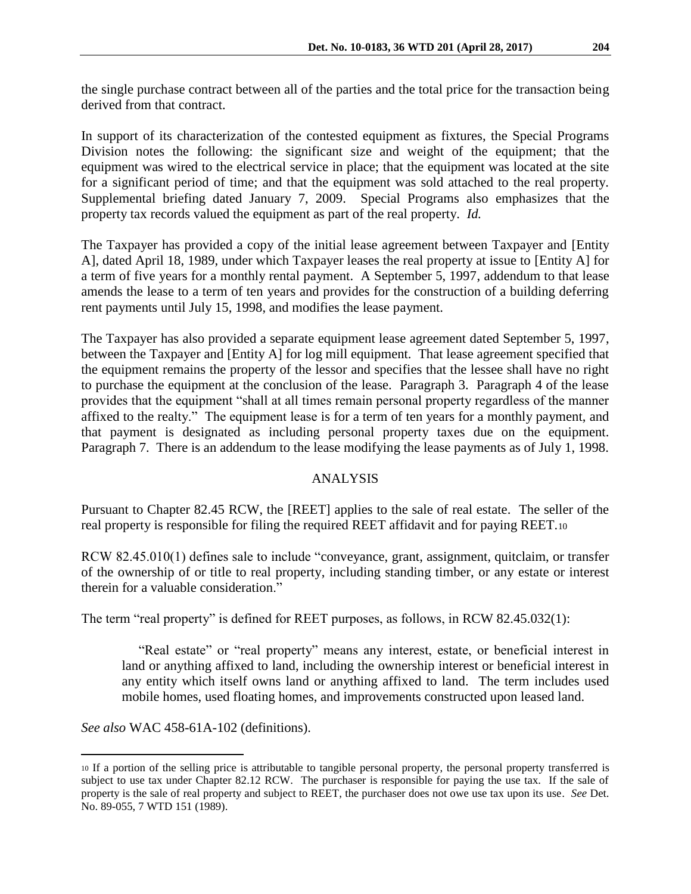the single purchase contract between all of the parties and the total price for the transaction being derived from that contract.

In support of its characterization of the contested equipment as fixtures, the Special Programs Division notes the following: the significant size and weight of the equipment; that the equipment was wired to the electrical service in place; that the equipment was located at the site for a significant period of time; and that the equipment was sold attached to the real property. Supplemental briefing dated January 7, 2009. Special Programs also emphasizes that the property tax records valued the equipment as part of the real property. *Id.*

The Taxpayer has provided a copy of the initial lease agreement between Taxpayer and [Entity A], dated April 18, 1989, under which Taxpayer leases the real property at issue to [Entity A] for a term of five years for a monthly rental payment. A September 5, 1997, addendum to that lease amends the lease to a term of ten years and provides for the construction of a building deferring rent payments until July 15, 1998, and modifies the lease payment.

The Taxpayer has also provided a separate equipment lease agreement dated September 5, 1997, between the Taxpayer and [Entity A] for log mill equipment. That lease agreement specified that the equipment remains the property of the lessor and specifies that the lessee shall have no right to purchase the equipment at the conclusion of the lease. Paragraph 3. Paragraph 4 of the lease provides that the equipment "shall at all times remain personal property regardless of the manner affixed to the realty." The equipment lease is for a term of ten years for a monthly payment, and that payment is designated as including personal property taxes due on the equipment. Paragraph 7. There is an addendum to the lease modifying the lease payments as of July 1, 1998.

# ANALYSIS

Pursuant to Chapter 82.45 RCW, the [REET] applies to the sale of real estate. The seller of the real property is responsible for filing the required REET affidavit and for paying REET.<sup>10</sup>

RCW 82.45.010(1) defines sale to include "conveyance, grant, assignment, quitclaim, or transfer of the ownership of or title to real property, including standing timber, or any estate or interest therein for a valuable consideration."

The term "real property" is defined for REET purposes, as follows, in RCW 82.45.032(1):

 "Real estate" or "real property" means any interest, estate, or beneficial interest in land or anything affixed to land, including the ownership interest or beneficial interest in any entity which itself owns land or anything affixed to land. The term includes used mobile homes, used floating homes, and improvements constructed upon leased land.

*See also* WAC 458-61A-102 (definitions).

 $\overline{a}$ 

<sup>10</sup> If a portion of the selling price is attributable to tangible personal property, the personal property transferred is subject to use tax under Chapter 82.12 RCW. The purchaser is responsible for paying the use tax. If the sale of property is the sale of real property and subject to REET, the purchaser does not owe use tax upon its use*. See* Det. No. 89-055, 7 WTD 151 (1989).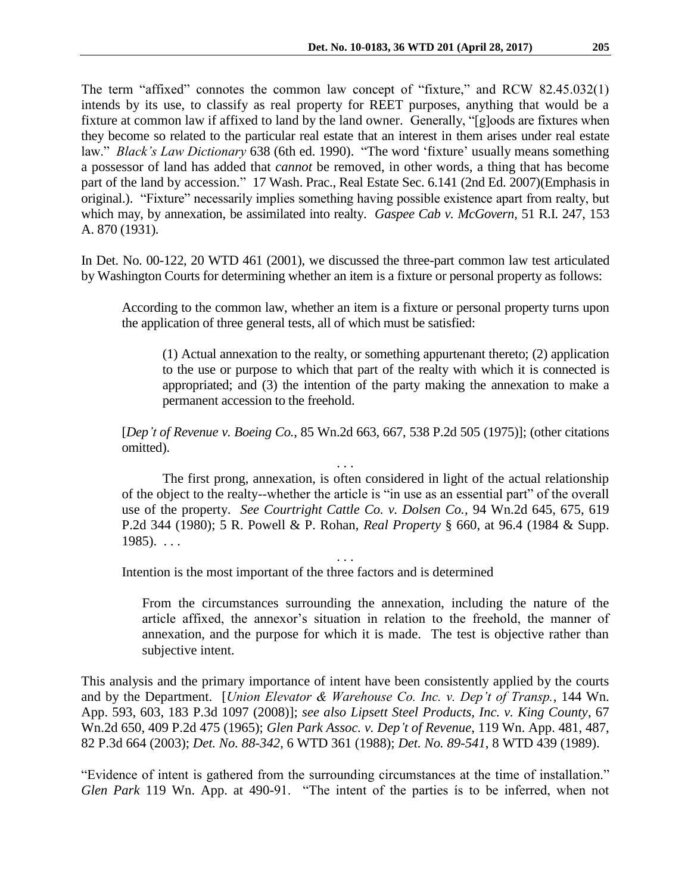The term "affixed" connotes the common law concept of "fixture," and RCW 82.45.032(1) intends by its use, to classify as real property for REET purposes, anything that would be a fixture at common law if affixed to land by the land owner. Generally, "[g]oods are fixtures when they become so related to the particular real estate that an interest in them arises under real estate law." *Black's Law Dictionary* 638 (6th ed. 1990). "The word 'fixture' usually means something a possessor of land has added that *cannot* be removed, in other words, a thing that has become part of the land by accession." 17 Wash. Prac., Real Estate Sec. 6.141 (2nd Ed. 2007)(Emphasis in original.). "Fixture" necessarily implies something having possible existence apart from realty, but which may, by annexation, be assimilated into realty. *Gaspee Cab v. McGovern*, 51 R.I. 247, 153 A. 870 (1931).

In Det. No. 00-122, 20 WTD 461 (2001), we discussed the three-part common law test articulated by Washington Courts for determining whether an item is a fixture or personal property as follows:

According to the common law, whether an item is a fixture or personal property turns upon the application of three general tests, all of which must be satisfied:

(1) Actual annexation to the realty, or something appurtenant thereto; (2) application to the use or purpose to which that part of the realty with which it is connected is appropriated; and (3) the intention of the party making the annexation to make a permanent accession to the freehold.

[*Dep't of Revenue v. Boeing Co.*, 85 Wn.2d 663, 667, 538 P.2d 505 (1975)]; (other citations omitted).

. . . The first prong, annexation, is often considered in light of the actual relationship of the object to the realty--whether the article is "in use as an essential part" of the overall use of the property. *See Courtright Cattle Co. v. Dolsen Co.*, 94 Wn.2d 645, 675, 619 P.2d 344 (1980); 5 R. Powell & P. Rohan, *Real Property* § 660, at 96.4 (1984 & Supp.  $1985$ ). . . .

. . .

Intention is the most important of the three factors and is determined

From the circumstances surrounding the annexation, including the nature of the article affixed, the annexor's situation in relation to the freehold, the manner of annexation, and the purpose for which it is made. The test is objective rather than subjective intent.

This analysis and the primary importance of intent have been consistently applied by the courts and by the Department. [*Union Elevator & Warehouse Co. Inc. v. Dep't of Transp.*, 144 Wn. App. 593, 603, 183 P.3d 1097 (2008)]; *see also Lipsett Steel Products, Inc. v. King County*, 67 Wn.2d 650, 409 P.2d 475 (1965); *Glen Park Assoc. v. Dep't of Revenue*, 119 Wn. App. 481, 487, 82 P.3d 664 (2003); *Det. No. 88-342*, 6 WTD 361 (1988); *Det. No. 89-541*, 8 WTD 439 (1989).

"Evidence of intent is gathered from the surrounding circumstances at the time of installation." *Glen Park* 119 Wn. App. at 490-91. "The intent of the parties ís to be inferred, when not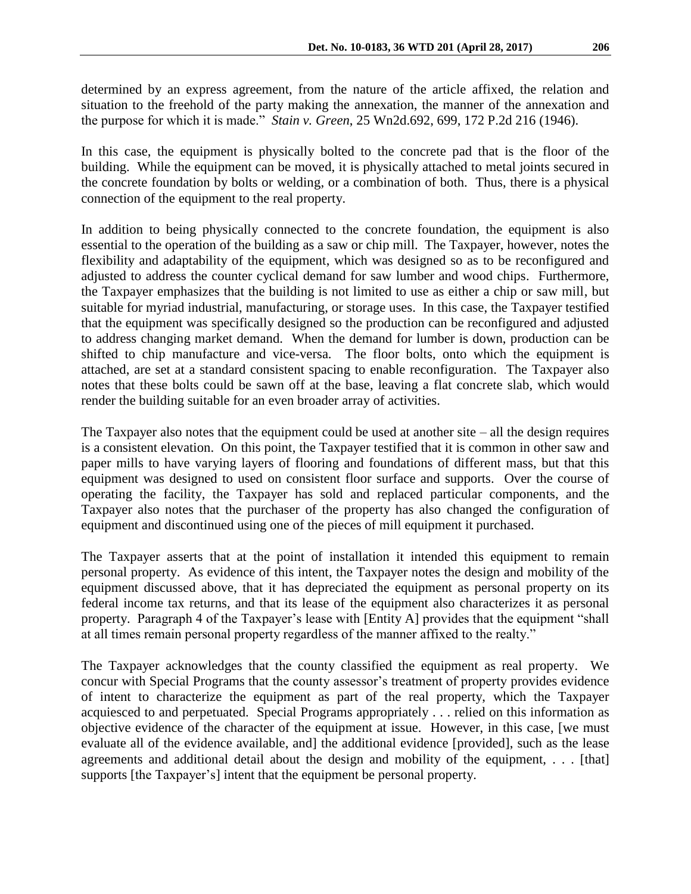determined by an express agreement, from the nature of the article affixed, the relation and situation to the freehold of the party making the annexation, the manner of the annexation and the purpose for which it is made." *Stain v. Green*, 25 Wn2d.692, 699, 172 P.2d 216 (1946).

In this case, the equipment is physically bolted to the concrete pad that is the floor of the building. While the equipment can be moved, it is physically attached to metal joints secured in the concrete foundation by bolts or welding, or a combination of both. Thus, there is a physical connection of the equipment to the real property.

In addition to being physically connected to the concrete foundation, the equipment is also essential to the operation of the building as a saw or chip mill. The Taxpayer, however, notes the flexibility and adaptability of the equipment, which was designed so as to be reconfigured and adjusted to address the counter cyclical demand for saw lumber and wood chips. Furthermore, the Taxpayer emphasizes that the building is not limited to use as either a chip or saw mill, but suitable for myriad industrial, manufacturing, or storage uses. In this case, the Taxpayer testified that the equipment was specifically designed so the production can be reconfigured and adjusted to address changing market demand. When the demand for lumber is down, production can be shifted to chip manufacture and vice-versa. The floor bolts, onto which the equipment is attached, are set at a standard consistent spacing to enable reconfiguration. The Taxpayer also notes that these bolts could be sawn off at the base, leaving a flat concrete slab, which would render the building suitable for an even broader array of activities.

The Taxpayer also notes that the equipment could be used at another site  $-$  all the design requires is a consistent elevation. On this point, the Taxpayer testified that it is common in other saw and paper mills to have varying layers of flooring and foundations of different mass, but that this equipment was designed to used on consistent floor surface and supports. Over the course of operating the facility, the Taxpayer has sold and replaced particular components, and the Taxpayer also notes that the purchaser of the property has also changed the configuration of equipment and discontinued using one of the pieces of mill equipment it purchased.

The Taxpayer asserts that at the point of installation it intended this equipment to remain personal property. As evidence of this intent, the Taxpayer notes the design and mobility of the equipment discussed above, that it has depreciated the equipment as personal property on its federal income tax returns, and that its lease of the equipment also characterizes it as personal property. Paragraph 4 of the Taxpayer's lease with [Entity A] provides that the equipment "shall at all times remain personal property regardless of the manner affixed to the realty."

The Taxpayer acknowledges that the county classified the equipment as real property. We concur with Special Programs that the county assessor's treatment of property provides evidence of intent to characterize the equipment as part of the real property, which the Taxpayer acquiesced to and perpetuated. Special Programs appropriately . . . relied on this information as objective evidence of the character of the equipment at issue. However, in this case, [we must evaluate all of the evidence available, and] the additional evidence [provided], such as the lease agreements and additional detail about the design and mobility of the equipment, . . . [that] supports [the Taxpayer's] intent that the equipment be personal property.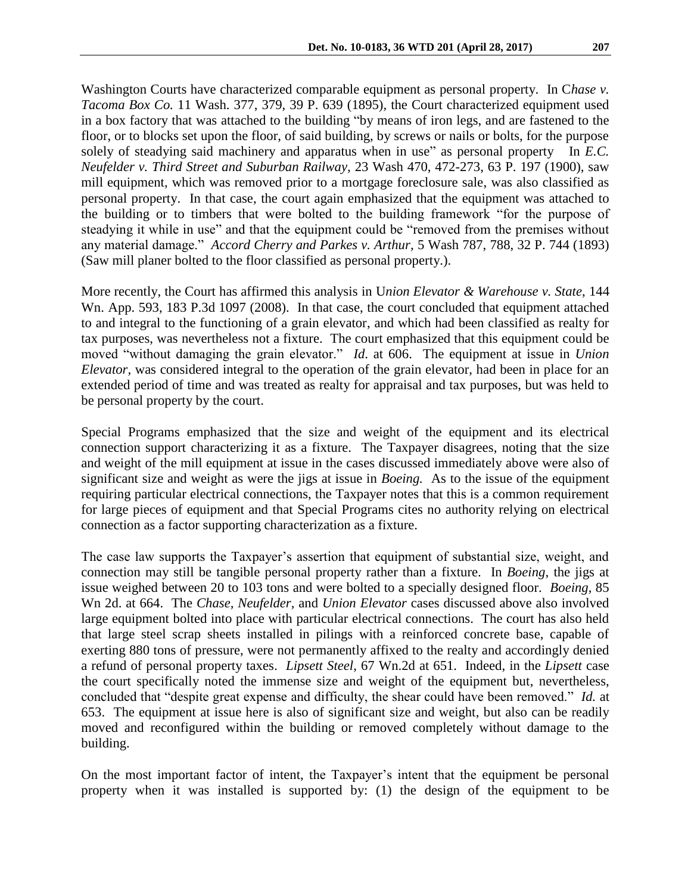Washington Courts have characterized comparable equipment as personal property. In C*hase v. Tacoma Box Co.* 11 Wash. 377, 379, 39 P. 639 (1895)*,* the Court characterized equipment used in a box factory that was attached to the building "by means of iron legs, and are fastened to the floor, or to blocks set upon the floor, of said building, by screws or nails or bolts, for the purpose solely of steadying said machinery and apparatus when in use" as personal property In *E.C. Neufelder v. Third Street and Suburban Railway,* 23 Wash 470, 472-273, 63 P. 197 (1900), saw mill equipment, which was removed prior to a mortgage foreclosure sale, was also classified as personal property. In that case, the court again emphasized that the equipment was attached to the building or to timbers that were bolted to the building framework "for the purpose of steadying it while in use" and that the equipment could be "removed from the premises without any material damage." *Accord Cherry and Parkes v. Arthur,* 5 Wash 787, 788, 32 P. 744 (1893) (Saw mill planer bolted to the floor classified as personal property.).

More recently, the Court has affirmed this analysis in U*nion Elevator & Warehouse v. State*, 144 Wn. App. 593, 183 P.3d 1097 (2008). In that case, the court concluded that equipment attached to and integral to the functioning of a grain elevator, and which had been classified as realty for tax purposes, was nevertheless not a fixture. The court emphasized that this equipment could be moved "without damaging the grain elevator." *Id*. at 606. The equipment at issue in *Union Elevator,* was considered integral to the operation of the grain elevator, had been in place for an extended period of time and was treated as realty for appraisal and tax purposes, but was held to be personal property by the court.

Special Programs emphasized that the size and weight of the equipment and its electrical connection support characterizing it as a fixture. The Taxpayer disagrees, noting that the size and weight of the mill equipment at issue in the cases discussed immediately above were also of significant size and weight as were the jigs at issue in *Boeing.* As to the issue of the equipment requiring particular electrical connections, the Taxpayer notes that this is a common requirement for large pieces of equipment and that Special Programs cites no authority relying on electrical connection as a factor supporting characterization as a fixture.

The case law supports the Taxpayer's assertion that equipment of substantial size, weight, and connection may still be tangible personal property rather than a fixture. In *Boeing*, the jigs at issue weighed between 20 to 103 tons and were bolted to a specially designed floor. *Boeing*, 85 Wn 2d. at 664. The *Chase, Neufelder,* and *Union Elevator* cases discussed above also involved large equipment bolted into place with particular electrical connections. The court has also held that large steel scrap sheets installed in pilings with a reinforced concrete base, capable of exerting 880 tons of pressure, were not permanently affixed to the realty and accordingly denied a refund of personal property taxes. *Lipsett Steel*, 67 Wn.2d at 651. Indeed, in the *Lipsett* case the court specifically noted the immense size and weight of the equipment but, nevertheless, concluded that "despite great expense and difficulty, the shear could have been removed." *Id.* at 653. The equipment at issue here is also of significant size and weight, but also can be readily moved and reconfigured within the building or removed completely without damage to the building.

On the most important factor of intent, the Taxpayer's intent that the equipment be personal property when it was installed is supported by: (1) the design of the equipment to be